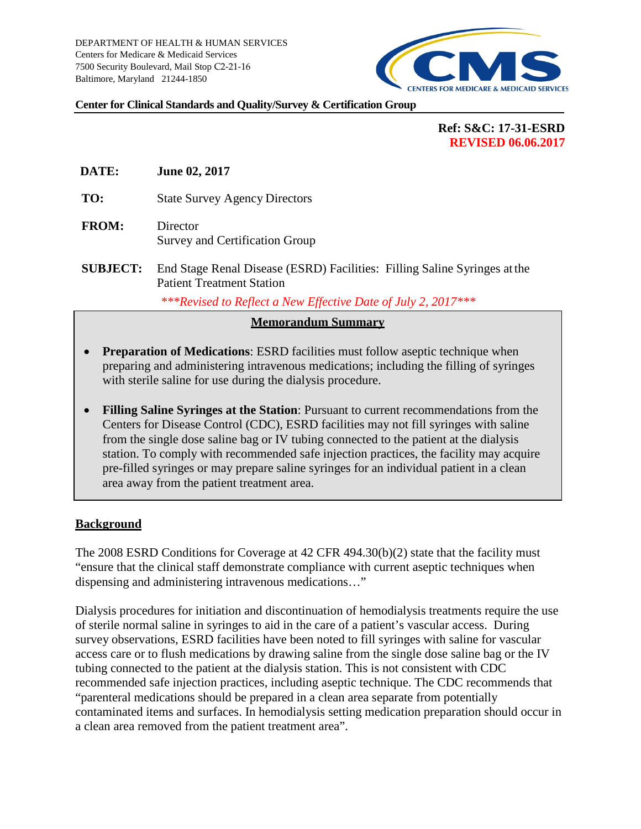

#### **Center for Clinical Standards and Quality/Survey & Certification Group**

# **Ref: S&C: 17-31-ESRD REVISED 06.06.2017**

- **DATE: June 02, 2017**
- **TO:** State Survey Agency Directors
- **FROM:** Director Survey and Certification Group
- **SUBJECT:** End Stage Renal Disease (ESRD) Facilities: Filling Saline Syringes at the Patient Treatment Station

*\*\*\*Revised to Reflect a New Effective Date of July 2, 2017\*\*\**

### **Memorandum Summary**

- **Preparation of Medications:** ESRD facilities must follow aseptic technique when preparing and administering intravenous medications; including the filling of syringes with sterile saline for use during the dialysis procedure.
- **Filling Saline Syringes at the Station**: Pursuant to current recommendations from the Centers for Disease Control (CDC), ESRD facilities may not fill syringes with saline from the single dose saline bag or IV tubing connected to the patient at the dialysis station. To comply with recommended safe injection practices, the facility may acquire pre-filled syringes or may prepare saline syringes for an individual patient in a clean area away from the patient treatment area.

### **Background**

The 2008 ESRD Conditions for Coverage at 42 CFR 494.30(b)(2) state that the facility must "ensure that the clinical staff demonstrate compliance with current aseptic techniques when dispensing and administering intravenous medications…"

Dialysis procedures for initiation and discontinuation of hemodialysis treatments require the use of sterile normal saline in syringes to aid in the care of a patient's vascular access. During survey observations, ESRD facilities have been noted to fill syringes with saline for vascular access care or to flush medications by drawing saline from the single dose saline bag or the IV tubing connected to the patient at the dialysis station. This is not consistent with CDC recommended safe injection practices, including aseptic technique. The CDC recommends that "parenteral medications should be prepared in a clean area separate from potentially contaminated items and surfaces. In hemodialysis setting medication preparation should occur in a clean area removed from the patient treatment area".